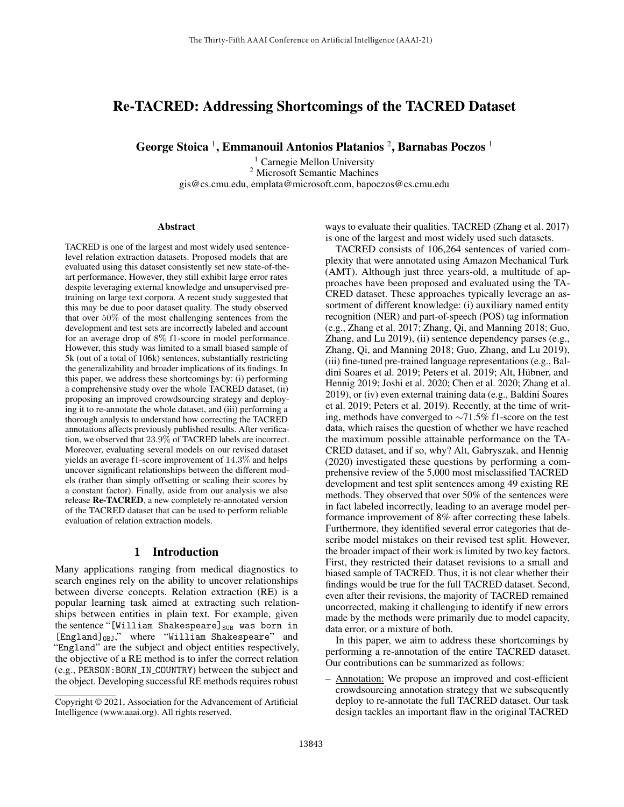# Re-TACRED: Addressing Shortcomings of the TACRED Dataset

George Stoica <sup>1</sup>, Emmanouil Antonios Platanios <sup>2</sup>, Barnabas Poczos <sup>1</sup>

<sup>1</sup> Carnegie Mellon University <sup>2</sup> Microsoft Semantic Machines gis@cs.cmu.edu, emplata@microsoft.com, bapoczos@cs.cmu.edu

#### Abstract

TACRED is one of the largest and most widely used sentencelevel relation extraction datasets. Proposed models that are evaluated using this dataset consistently set new state-of-theart performance. However, they still exhibit large error rates despite leveraging external knowledge and unsupervised pretraining on large text corpora. A recent study suggested that this may be due to poor dataset quality. The study observed that over 50% of the most challenging sentences from the development and test sets are incorrectly labeled and account for an average drop of 8% f1-score in model performance. However, this study was limited to a small biased sample of 5k (out of a total of 106k) sentences, substantially restricting the generalizability and broader implications of its findings. In this paper, we address these shortcomings by: (i) performing a comprehensive study over the whole TACRED dataset, (ii) proposing an improved crowdsourcing strategy and deploying it to re-annotate the whole dataset, and (iii) performing a thorough analysis to understand how correcting the TACRED annotations affects previously published results. After verification, we observed that 23.9% of TACRED labels are incorrect. Moreover, evaluating several models on our revised dataset yields an average f1-score improvement of 14.3% and helps uncover significant relationships between the different models (rather than simply offsetting or scaling their scores by a constant factor). Finally, aside from our analysis we also release Re-TACRED, a new completely re-annotated version of the TACRED dataset that can be used to perform reliable evaluation of relation extraction models.

### 1 Introduction

Many applications ranging from medical diagnostics to search engines rely on the ability to uncover relationships between diverse concepts. Relation extraction (RE) is a popular learning task aimed at extracting such relationships between entities in plain text. For example, given the sentence "[William Shakespeare]<sub>SUB</sub> was born in  $[England]_{OBJ}$ ," where "William Shakespeare" and "England" are the subject and object entities respectively, the objective of a RE method is to infer the correct relation (e.g., PERSON:BORN IN COUNTRY) between the subject and the object. Developing successful RE methods requires robust ways to evaluate their qualities. TACRED (Zhang et al. 2017) is one of the largest and most widely used such datasets.

TACRED consists of 106,264 sentences of varied complexity that were annotated using Amazon Mechanical Turk (AMT). Although just three years-old, a multitude of approaches have been proposed and evaluated using the TA-CRED dataset. These approaches typically leverage an assortment of different knowledge: (i) auxiliary named entity recognition (NER) and part-of-speech (POS) tag information (e.g., Zhang et al. 2017; Zhang, Qi, and Manning 2018; Guo, Zhang, and Lu 2019), (ii) sentence dependency parses (e.g., Zhang, Qi, and Manning 2018; Guo, Zhang, and Lu 2019), (iii) fine-tuned pre-trained language representations (e.g., Baldini Soares et al. 2019; Peters et al. 2019; Alt, Hubner, and ¨ Hennig 2019; Joshi et al. 2020; Chen et al. 2020; Zhang et al. 2019), or (iv) even external training data (e.g., Baldini Soares et al. 2019; Peters et al. 2019). Recently, at the time of writing, methods have converged to ∼71.5% f1-score on the test data, which raises the question of whether we have reached the maximum possible attainable performance on the TA-CRED dataset, and if so, why? Alt, Gabryszak, and Hennig (2020) investigated these questions by performing a comprehensive review of the 5,000 most misclassified TACRED development and test split sentences among 49 existing RE methods. They observed that over 50% of the sentences were in fact labeled incorrectly, leading to an average model performance improvement of 8% after correcting these labels. Furthermore, they identified several error categories that describe model mistakes on their revised test split. However, the broader impact of their work is limited by two key factors. First, they restricted their dataset revisions to a small and biased sample of TACRED. Thus, it is not clear whether their findings would be true for the full TACRED dataset. Second, even after their revisions, the majority of TACRED remained uncorrected, making it challenging to identify if new errors made by the methods were primarily due to model capacity, data error, or a mixture of both.

In this paper, we aim to address these shortcomings by performing a re-annotation of the entire TACRED dataset. Our contributions can be summarized as follows:

– Annotation: We propose an improved and cost-efficient crowdsourcing annotation strategy that we subsequently deploy to re-annotate the full TACRED dataset. Our task design tackles an important flaw in the original TACRED

Copyright © 2021, Association for the Advancement of Artificial Intelligence (www.aaai.org). All rights reserved.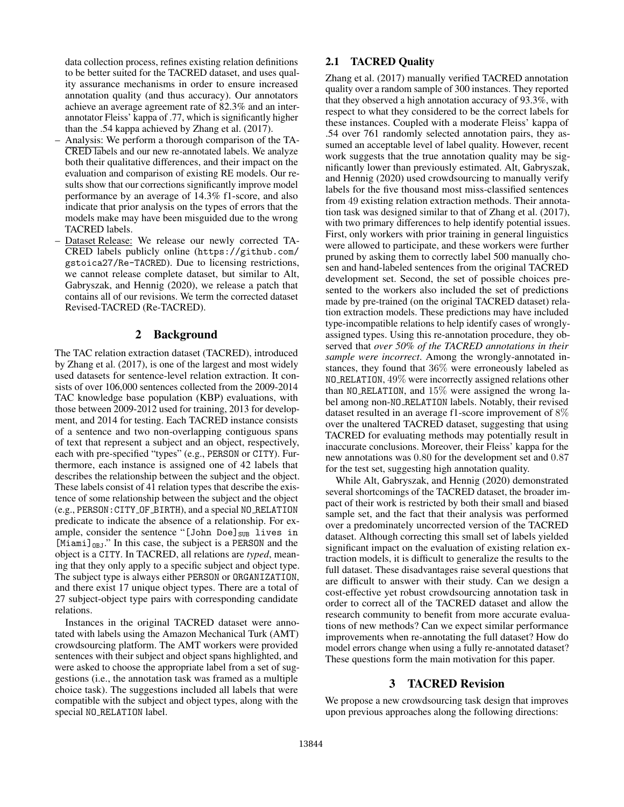data collection process, refines existing relation definitions to be better suited for the TACRED dataset, and uses quality assurance mechanisms in order to ensure increased annotation quality (and thus accuracy). Our annotators achieve an average agreement rate of 82.3% and an interannotator Fleiss' kappa of .77, which is significantly higher than the .54 kappa achieved by Zhang et al. (2017).

- Analysis: We perform a thorough comparison of the TA-CRED labels and our new re-annotated labels. We analyze both their qualitative differences, and their impact on the evaluation and comparison of existing RE models. Our results show that our corrections significantly improve model performance by an average of 14.3% f1-score, and also indicate that prior analysis on the types of errors that the models make may have been misguided due to the wrong TACRED labels.
- Dataset Release: We release our newly corrected TA-CRED labels publicly online (https://github.com/ gstoica27/Re-TACRED). Due to licensing restrictions, we cannot release complete dataset, but similar to Alt, Gabryszak, and Hennig (2020), we release a patch that contains all of our revisions. We term the corrected dataset Revised-TACRED (Re-TACRED).

#### 2 Background

The TAC relation extraction dataset (TACRED), introduced by Zhang et al. (2017), is one of the largest and most widely used datasets for sentence-level relation extraction. It consists of over 106,000 sentences collected from the 2009-2014 TAC knowledge base population (KBP) evaluations, with those between 2009-2012 used for training, 2013 for development, and 2014 for testing. Each TACRED instance consists of a sentence and two non-overlapping contiguous spans of text that represent a subject and an object, respectively, each with pre-specified "types" (e.g., PERSON or CITY). Furthermore, each instance is assigned one of 42 labels that describes the relationship between the subject and the object. These labels consist of 41 relation types that describe the existence of some relationship between the subject and the object (e.g., PERSON:CITY OF BIRTH), and a special NO RELATION predicate to indicate the absence of a relationship. For example, consider the sentence "[John Doe] $_{SUB}$  lives in  $[Miami]_{OBJ}$ ." In this case, the subject is a PERSON and the object is a CITY. In TACRED, all relations are *typed*, meaning that they only apply to a specific subject and object type. The subject type is always either PERSON or ORGANIZATION, and there exist 17 unique object types. There are a total of 27 subject-object type pairs with corresponding candidate relations.

Instances in the original TACRED dataset were annotated with labels using the Amazon Mechanical Turk (AMT) crowdsourcing platform. The AMT workers were provided sentences with their subject and object spans highlighted, and were asked to choose the appropriate label from a set of suggestions (i.e., the annotation task was framed as a multiple choice task). The suggestions included all labels that were compatible with the subject and object types, along with the special NO RELATION label.

#### 2.1 TACRED Quality

Zhang et al. (2017) manually verified TACRED annotation quality over a random sample of 300 instances. They reported that they observed a high annotation accuracy of 93.3%, with respect to what they considered to be the correct labels for these instances. Coupled with a moderate Fleiss' kappa of .54 over 761 randomly selected annotation pairs, they assumed an acceptable level of label quality. However, recent work suggests that the true annotation quality may be significantly lower than previously estimated. Alt, Gabryszak, and Hennig (2020) used crowdsourcing to manually verify labels for the five thousand most miss-classified sentences from 49 existing relation extraction methods. Their annotation task was designed similar to that of Zhang et al. (2017), with two primary differences to help identify potential issues. First, only workers with prior training in general linguistics were allowed to participate, and these workers were further pruned by asking them to correctly label 500 manually chosen and hand-labeled sentences from the original TACRED development set. Second, the set of possible choices presented to the workers also included the set of predictions made by pre-trained (on the original TACRED dataset) relation extraction models. These predictions may have included type-incompatible relations to help identify cases of wronglyassigned types. Using this re-annotation procedure, they observed that *over 50% of the TACRED annotations in their sample were incorrect*. Among the wrongly-annotated instances, they found that 36% were erroneously labeled as NO RELATION, 49% were incorrectly assigned relations other than NO RELATION, and 15% were assigned the wrong label among non-NO RELATION labels. Notably, their revised dataset resulted in an average f1-score improvement of 8% over the unaltered TACRED dataset, suggesting that using TACRED for evaluating methods may potentially result in inaccurate conclusions. Moreover, their Fleiss' kappa for the new annotations was 0.80 for the development set and 0.87 for the test set, suggesting high annotation quality.

While Alt, Gabryszak, and Hennig (2020) demonstrated several shortcomings of the TACRED dataset, the broader impact of their work is restricted by both their small and biased sample set, and the fact that their analysis was performed over a predominately uncorrected version of the TACRED dataset. Although correcting this small set of labels yielded significant impact on the evaluation of existing relation extraction models, it is difficult to generalize the results to the full dataset. These disadvantages raise several questions that are difficult to answer with their study. Can we design a cost-effective yet robust crowdsourcing annotation task in order to correct all of the TACRED dataset and allow the research community to benefit from more accurate evaluations of new methods? Can we expect similar performance improvements when re-annotating the full dataset? How do model errors change when using a fully re-annotated dataset? These questions form the main motivation for this paper.

### 3 TACRED Revision

We propose a new crowdsourcing task design that improves upon previous approaches along the following directions: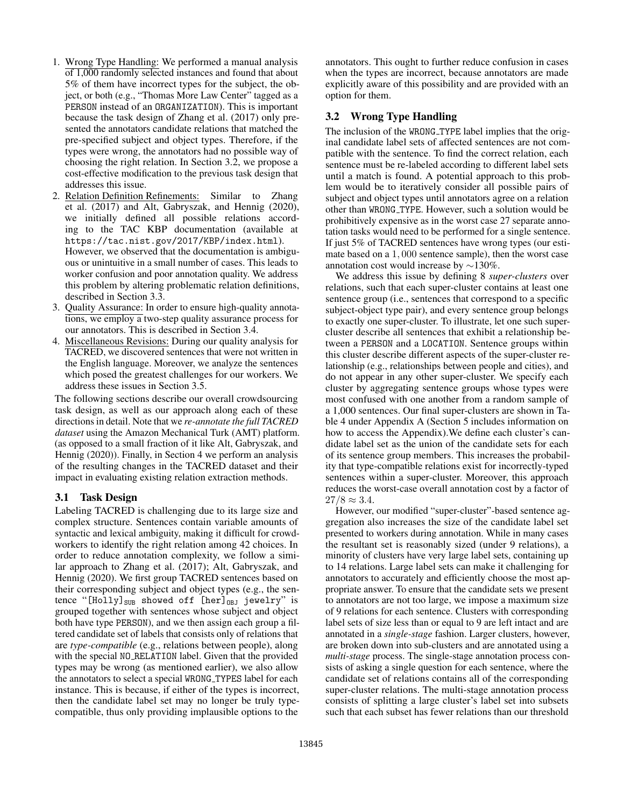- 1. Wrong Type Handling: We performed a manual analysis of 1,000 randomly selected instances and found that about 5% of them have incorrect types for the subject, the object, or both (e.g., "Thomas More Law Center" tagged as a PERSON instead of an ORGANIZATION). This is important because the task design of Zhang et al. (2017) only presented the annotators candidate relations that matched the pre-specified subject and object types. Therefore, if the types were wrong, the annotators had no possible way of choosing the right relation. In Section 3.2, we propose a cost-effective modification to the previous task design that addresses this issue.
- 2. Relation Definition Refinements: Similar to Zhang et al. (2017) and Alt, Gabryszak, and Hennig (2020), we initially defined all possible relations according to the TAC KBP documentation (available at https://tac.nist.gov/2017/KBP/index.html). However, we observed that the documentation is ambiguous or unintuitive in a small number of cases. This leads to worker confusion and poor annotation quality. We address this problem by altering problematic relation definitions, described in Section 3.3.
- 3. Quality Assurance: In order to ensure high-quality annotations, we employ a two-step quality assurance process for our annotators. This is described in Section 3.4.
- 4. Miscellaneous Revisions: During our quality analysis for TACRED, we discovered sentences that were not written in the English language. Moreover, we analyze the sentences which posed the greatest challenges for our workers. We address these issues in Section 3.5.

The following sections describe our overall crowdsourcing task design, as well as our approach along each of these directions in detail. Note that we *re-annotate the full TACRED dataset* using the Amazon Mechanical Turk (AMT) platform. (as opposed to a small fraction of it like Alt, Gabryszak, and Hennig (2020)). Finally, in Section 4 we perform an analysis of the resulting changes in the TACRED dataset and their impact in evaluating existing relation extraction methods.

#### 3.1 Task Design

Labeling TACRED is challenging due to its large size and complex structure. Sentences contain variable amounts of syntactic and lexical ambiguity, making it difficult for crowdworkers to identify the right relation among 42 choices. In order to reduce annotation complexity, we follow a similar approach to Zhang et al. (2017); Alt, Gabryszak, and Hennig (2020). We first group TACRED sentences based on their corresponding subject and object types (e.g., the sentence "[Holly] $_{SUB}$  showed off [her]<sub>OBJ</sub> jewelry" is grouped together with sentences whose subject and object both have type PERSON), and we then assign each group a filtered candidate set of labels that consists only of relations that are *type-compatible* (e.g., relations between people), along with the special NO RELATION label. Given that the provided types may be wrong (as mentioned earlier), we also allow the annotators to select a special WRONG TYPES label for each instance. This is because, if either of the types is incorrect, then the candidate label set may no longer be truly typecompatible, thus only providing implausible options to the

annotators. This ought to further reduce confusion in cases when the types are incorrect, because annotators are made explicitly aware of this possibility and are provided with an option for them.

# 3.2 Wrong Type Handling

The inclusion of the WRONG TYPE label implies that the original candidate label sets of affected sentences are not compatible with the sentence. To find the correct relation, each sentence must be re-labeled according to different label sets until a match is found. A potential approach to this problem would be to iteratively consider all possible pairs of subject and object types until annotators agree on a relation other than WRONG TYPE. However, such a solution would be prohibitively expensive as in the worst case 27 separate annotation tasks would need to be performed for a single sentence. If just 5% of TACRED sentences have wrong types (our estimate based on a 1, 000 sentence sample), then the worst case annotation cost would increase by ∼130%.

We address this issue by defining 8 *super-clusters* over relations, such that each super-cluster contains at least one sentence group (i.e., sentences that correspond to a specific subject-object type pair), and every sentence group belongs to exactly one super-cluster. To illustrate, let one such supercluster describe all sentences that exhibit a relationship between a PERSON and a LOCATION. Sentence groups within this cluster describe different aspects of the super-cluster relationship (e.g., relationships between people and cities), and do not appear in any other super-cluster. We specify each cluster by aggregating sentence groups whose types were most confused with one another from a random sample of a 1,000 sentences. Our final super-clusters are shown in Table 4 under Appendix A (Section 5 includes information on how to access the Appendix).We define each cluster's candidate label set as the union of the candidate sets for each of its sentence group members. This increases the probability that type-compatible relations exist for incorrectly-typed sentences within a super-cluster. Moreover, this approach reduces the worst-case overall annotation cost by a factor of  $27/8 \approx 3.4$ .

However, our modified "super-cluster"-based sentence aggregation also increases the size of the candidate label set presented to workers during annotation. While in many cases the resultant set is reasonably sized (under 9 relations), a minority of clusters have very large label sets, containing up to 14 relations. Large label sets can make it challenging for annotators to accurately and efficiently choose the most appropriate answer. To ensure that the candidate sets we present to annotators are not too large, we impose a maximum size of 9 relations for each sentence. Clusters with corresponding label sets of size less than or equal to 9 are left intact and are annotated in a *single-stage* fashion. Larger clusters, however, are broken down into sub-clusters and are annotated using a *multi-stage* process. The single-stage annotation process consists of asking a single question for each sentence, where the candidate set of relations contains all of the corresponding super-cluster relations. The multi-stage annotation process consists of splitting a large cluster's label set into subsets such that each subset has fewer relations than our threshold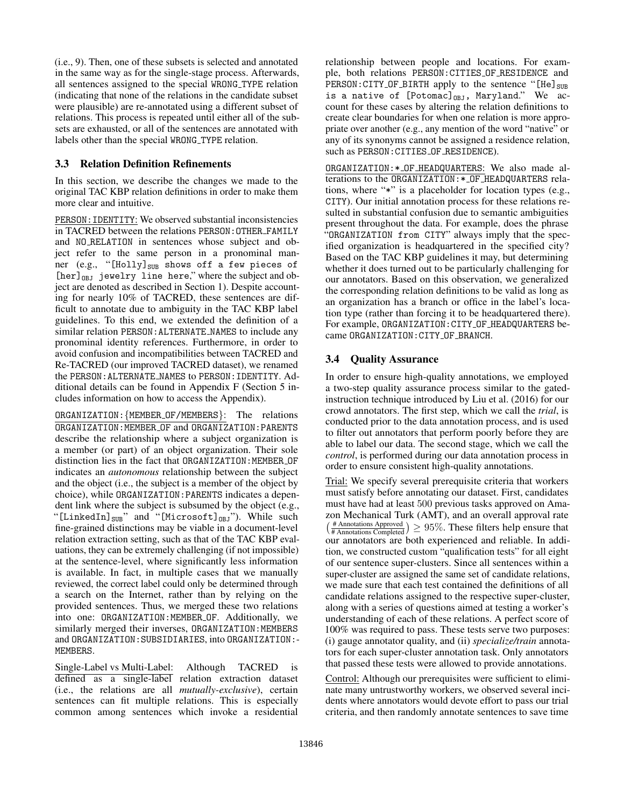(i.e., 9). Then, one of these subsets is selected and annotated in the same way as for the single-stage process. Afterwards, all sentences assigned to the special WRONG TYPE relation (indicating that none of the relations in the candidate subset were plausible) are re-annotated using a different subset of relations. This process is repeated until either all of the subsets are exhausted, or all of the sentences are annotated with labels other than the special WRONG TYPE relation.

### 3.3 Relation Definition Refinements

In this section, we describe the changes we made to the original TAC KBP relation definitions in order to make them more clear and intuitive.

PERSON: IDENTITY: We observed substantial inconsistencies in TACRED between the relations PERSON:OTHER FAMILY and NO RELATION in sentences whose subject and object refer to the same person in a pronominal manner (e.g., "[Holly] $_{SUB}$  shows off a few pieces of  $[her]_{DBJ}$  jewelry line here," where the subject and object are denoted as described in Section 1). Despite accounting for nearly 10% of TACRED, these sentences are difficult to annotate due to ambiguity in the TAC KBP label guidelines. To this end, we extended the definition of a similar relation PERSON:ALTERNATE NAMES to include any pronominal identity references. Furthermore, in order to avoid confusion and incompatibilities between TACRED and Re-TACRED (our improved TACRED dataset), we renamed the PERSON:ALTERNATE NAMES to PERSON:IDENTITY. Additional details can be found in Appendix F (Section 5 includes information on how to access the Appendix).

ORGANIZATION:{MEMBER OF/MEMBERS}: The relations ORGANIZATION:MEMBER OF and ORGANIZATION:PARENTS describe the relationship where a subject organization is a member (or part) of an object organization. Their sole distinction lies in the fact that ORGANIZATION: MEMBER OF indicates an *autonomous* relationship between the subject and the object (i.e., the subject is a member of the object by choice), while ORGANIZATION:PARENTS indicates a dependent link where the subject is subsumed by the object (e.g., "[LinkedIn] $_{SUB}$ " and "[Microsoft] $_{OBJ}$ "). While such fine-grained distinctions may be viable in a document-level relation extraction setting, such as that of the TAC KBP evaluations, they can be extremely challenging (if not impossible) at the sentence-level, where significantly less information is available. In fact, in multiple cases that we manually reviewed, the correct label could only be determined through a search on the Internet, rather than by relying on the provided sentences. Thus, we merged these two relations into one: ORGANIZATION:MEMBER OF. Additionally, we similarly merged their inverses, ORGANIZATION: MEMBERS and ORGANIZATION:SUBSIDIARIES, into ORGANIZATION:- MEMBERS.

Single-Label vs Multi-Label: Although TACRED is defined as a single-label relation extraction dataset (i.e., the relations are all *mutually-exclusive*), certain sentences can fit multiple relations. This is especially common among sentences which invoke a residential

relationship between people and locations. For example, both relations PERSON:CITIES OF RESIDENCE and  $\texttt{PERSON:CITY\_OF\_BIRTH}$  apply to the sentence "[He]  $_{\texttt{SUB}}$ is a native of  $[Potomac]_{0BJ}$ , Maryland." We account for these cases by altering the relation definitions to create clear boundaries for when one relation is more appropriate over another (e.g., any mention of the word "native" or any of its synonyms cannot be assigned a residence relation, such as PERSON:CITIES OF RESIDENCE).

ORGANIZATION:\* OF HEADQUARTERS: We also made alterations to the ORGANIZATION:\* OF HEADQUARTERS relations, where "\*" is a placeholder for location types (e.g., CITY). Our initial annotation process for these relations resulted in substantial confusion due to semantic ambiguities present throughout the data. For example, does the phrase "ORGANIZATION from CITY" always imply that the specified organization is headquartered in the specified city? Based on the TAC KBP guidelines it may, but determining whether it does turned out to be particularly challenging for our annotators. Based on this observation, we generalized the corresponding relation definitions to be valid as long as an organization has a branch or office in the label's location type (rather than forcing it to be headquartered there). For example, ORGANIZATION:CITY OF HEADQUARTERS became ORGANIZATION:CITY OF BRANCH.

# 3.4 Quality Assurance

In order to ensure high-quality annotations, we employed a two-step quality assurance process similar to the gatedinstruction technique introduced by Liu et al. (2016) for our crowd annotators. The first step, which we call the *trial*, is conducted prior to the data annotation process, and is used to filter out annotators that perform poorly before they are able to label our data. The second stage, which we call the *control*, is performed during our data annotation process in order to ensure consistent high-quality annotations.

Trial: We specify several prerequisite criteria that workers must satisfy before annotating our dataset. First, candidates must have had at least 500 previous tasks approved on Amazon Mechanical Turk (AMT), and an overall approval rate  $(\frac{\text{\# Annotations Approved}}{\text{\# Annotations Completed}}) \geq 95\%$ . These filters help ensure that our annotators are both experienced and reliable. In addition, we constructed custom "qualification tests" for all eight of our sentence super-clusters. Since all sentences within a super-cluster are assigned the same set of candidate relations, we made sure that each test contained the definitions of all candidate relations assigned to the respective super-cluster, along with a series of questions aimed at testing a worker's understanding of each of these relations. A perfect score of 100% was required to pass. These tests serve two purposes: (i) gauge annotator quality, and (ii) *specialize/train* annotators for each super-cluster annotation task. Only annotators that passed these tests were allowed to provide annotations.

Control: Although our prerequisites were sufficient to eliminate many untrustworthy workers, we observed several incidents where annotators would devote effort to pass our trial criteria, and then randomly annotate sentences to save time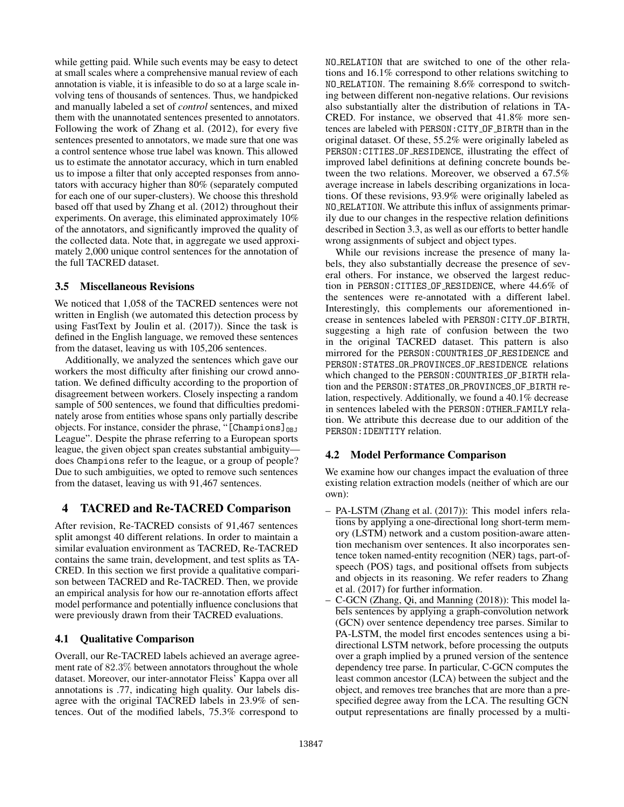while getting paid. While such events may be easy to detect at small scales where a comprehensive manual review of each annotation is viable, it is infeasible to do so at a large scale involving tens of thousands of sentences. Thus, we handpicked and manually labeled a set of *control* sentences, and mixed them with the unannotated sentences presented to annotators. Following the work of Zhang et al. (2012), for every five sentences presented to annotators, we made sure that one was a control sentence whose true label was known. This allowed us to estimate the annotator accuracy, which in turn enabled us to impose a filter that only accepted responses from annotators with accuracy higher than 80% (separately computed for each one of our super-clusters). We choose this threshold based off that used by Zhang et al. (2012) throughout their experiments. On average, this eliminated approximately 10% of the annotators, and significantly improved the quality of the collected data. Note that, in aggregate we used approximately 2,000 unique control sentences for the annotation of the full TACRED dataset.

# 3.5 Miscellaneous Revisions

We noticed that 1,058 of the TACRED sentences were not written in English (we automated this detection process by using FastText by Joulin et al. (2017)). Since the task is defined in the English language, we removed these sentences from the dataset, leaving us with 105,206 sentences.

Additionally, we analyzed the sentences which gave our workers the most difficulty after finishing our crowd annotation. We defined difficulty according to the proportion of disagreement between workers. Closely inspecting a random sample of 500 sentences, we found that difficulties predominately arose from entities whose spans only partially describe objects. For instance, consider the phrase, "[Champions] $_{OBJ}$ League". Despite the phrase referring to a European sports league, the given object span creates substantial ambiguity does Champions refer to the league, or a group of people? Due to such ambiguities, we opted to remove such sentences from the dataset, leaving us with 91,467 sentences.

# 4 TACRED and Re-TACRED Comparison

After revision, Re-TACRED consists of 91,467 sentences split amongst 40 different relations. In order to maintain a similar evaluation environment as TACRED, Re-TACRED contains the same train, development, and test splits as TA-CRED. In this section we first provide a qualitative comparison between TACRED and Re-TACRED. Then, we provide an empirical analysis for how our re-annotation efforts affect model performance and potentially influence conclusions that were previously drawn from their TACRED evaluations.

# 4.1 Qualitative Comparison

Overall, our Re-TACRED labels achieved an average agreement rate of 82.3% between annotators throughout the whole dataset. Moreover, our inter-annotator Fleiss' Kappa over all annotations is .77, indicating high quality. Our labels disagree with the original TACRED labels in 23.9% of sentences. Out of the modified labels, 75.3% correspond to

NO RELATION that are switched to one of the other relations and 16.1% correspond to other relations switching to NO RELATION. The remaining 8.6% correspond to switching between different non-negative relations. Our revisions also substantially alter the distribution of relations in TA-CRED. For instance, we observed that 41.8% more sentences are labeled with PERSON:CITY OF BIRTH than in the original dataset. Of these, 55.2% were originally labeled as PERSON:CITIES OF RESIDENCE, illustrating the effect of improved label definitions at defining concrete bounds between the two relations. Moreover, we observed a 67.5% average increase in labels describing organizations in locations. Of these revisions, 93.9% were originally labeled as NO RELATION. We attribute this influx of assignments primarily due to our changes in the respective relation definitions described in Section 3.3, as well as our efforts to better handle wrong assignments of subject and object types.

While our revisions increase the presence of many labels, they also substantially decrease the presence of several others. For instance, we observed the largest reduction in PERSON:CITIES OF RESIDENCE, where 44.6% of the sentences were re-annotated with a different label. Interestingly, this complements our aforementioned increase in sentences labeled with PERSON:CITY OF BIRTH, suggesting a high rate of confusion between the two in the original TACRED dataset. This pattern is also mirrored for the PERSON:COUNTRIES OF RESIDENCE and PERSON:STATES OR PROVINCES OF RESIDENCE relations which changed to the PERSON:COUNTRIES OF BIRTH relation and the PERSON:STATES OR PROVINCES OF BIRTH relation, respectively. Additionally, we found a 40.1% decrease in sentences labeled with the PERSON:OTHER FAMILY relation. We attribute this decrease due to our addition of the PERSON:IDENTITY relation.

# 4.2 Model Performance Comparison

We examine how our changes impact the evaluation of three existing relation extraction models (neither of which are our own):

- PA-LSTM (Zhang et al. (2017)): This model infers relations by applying a one-directional long short-term memory (LSTM) network and a custom position-aware attention mechanism over sentences. It also incorporates sentence token named-entity recognition (NER) tags, part-ofspeech (POS) tags, and positional offsets from subjects and objects in its reasoning. We refer readers to Zhang et al. (2017) for further information.
- C-GCN (Zhang, Qi, and Manning (2018)): This model labels sentences by applying a graph-convolution network (GCN) over sentence dependency tree parses. Similar to PA-LSTM, the model first encodes sentences using a bidirectional LSTM network, before processing the outputs over a graph implied by a pruned version of the sentence dependency tree parse. In particular, C-GCN computes the least common ancestor (LCA) between the subject and the object, and removes tree branches that are more than a prespecified degree away from the LCA. The resulting GCN output representations are finally processed by a multi-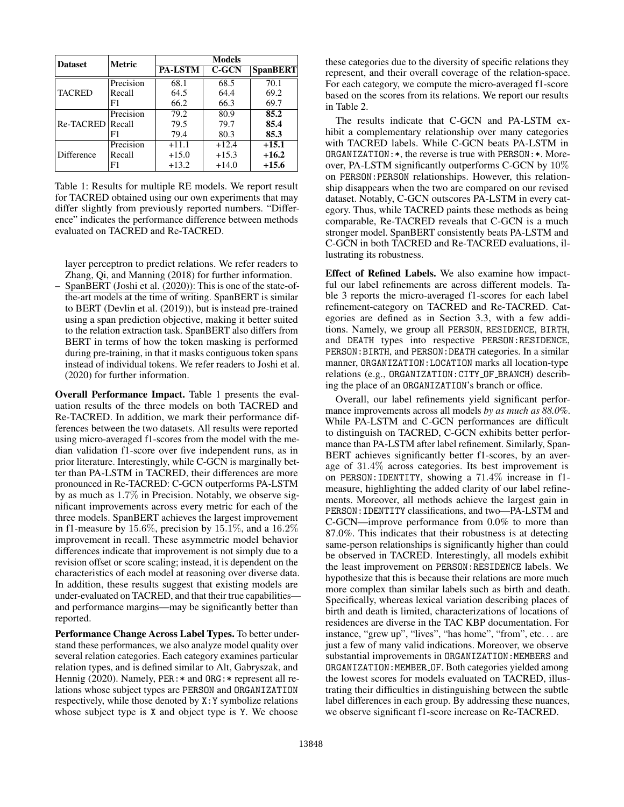| <b>Dataset</b>   | <b>Metric</b> | <b>Models</b>  |          |                 |  |  |
|------------------|---------------|----------------|----------|-----------------|--|--|
|                  |               | <b>PA-LSTM</b> | $C$ -GCN | <b>SpanBERT</b> |  |  |
|                  | Precision     | 68.1           | 68.5     | 70.1            |  |  |
| <b>TACRED</b>    | Recall        | 64.5           | 64.4     | 69.2            |  |  |
|                  | F1            | 66.2           | 66.3     | 69.7            |  |  |
|                  | Precision     | 79.2           | 80.9     | 85.2            |  |  |
| Re-TACRED Recall |               | 79.5           | 79.7     | 85.4            |  |  |
|                  | F1            | 79.4           | 80.3     | 85.3            |  |  |
|                  | Precision     | $+11.1$        | $+12.4$  | $+15.1$         |  |  |
| Difference       | Recall        | $+15.0$        | $+15.3$  | $+16.2$         |  |  |
|                  | F1            | $+13.2$        | $+14.0$  | $+15.6$         |  |  |

Table 1: Results for multiple RE models. We report result for TACRED obtained using our own experiments that may differ slightly from previously reported numbers. "Difference" indicates the performance difference between methods evaluated on TACRED and Re-TACRED.

layer perceptron to predict relations. We refer readers to Zhang, Qi, and Manning (2018) for further information.

– SpanBERT (Joshi et al. (2020)): This is one of the state-ofthe-art models at the time of writing. SpanBERT is similar to BERT (Devlin et al. (2019)), but is instead pre-trained using a span prediction objective, making it better suited to the relation extraction task. SpanBERT also differs from BERT in terms of how the token masking is performed during pre-training, in that it masks contiguous token spans instead of individual tokens. We refer readers to Joshi et al. (2020) for further information.

Overall Performance Impact. Table 1 presents the evaluation results of the three models on both TACRED and Re-TACRED. In addition, we mark their performance differences between the two datasets. All results were reported using micro-averaged f1-scores from the model with the median validation f1-score over five independent runs, as in prior literature. Interestingly, while C-GCN is marginally better than PA-LSTM in TACRED, their differences are more pronounced in Re-TACRED: C-GCN outperforms PA-LSTM by as much as 1.7% in Precision. Notably, we observe significant improvements across every metric for each of the three models. SpanBERT achieves the largest improvement in f1-measure by  $15.6\%$ , precision by  $15.1\%$ , and a  $16.2\%$ improvement in recall. These asymmetric model behavior differences indicate that improvement is not simply due to a revision offset or score scaling; instead, it is dependent on the characteristics of each model at reasoning over diverse data. In addition, these results suggest that existing models are under-evaluated on TACRED, and that their true capabilities and performance margins—may be significantly better than reported.

Performance Change Across Label Types. To better understand these performances, we also analyze model quality over several relation categories. Each category examines particular relation types, and is defined similar to Alt, Gabryszak, and Hennig (2020). Namely, PER:  $*$  and ORG:  $*$  represent all relations whose subject types are PERSON and ORGANIZATION respectively, while those denoted by X:Y symbolize relations whose subject type is X and object type is Y. We choose

these categories due to the diversity of specific relations they represent, and their overall coverage of the relation-space. For each category, we compute the micro-averaged f1-score based on the scores from its relations. We report our results in Table 2.

The results indicate that C-GCN and PA-LSTM exhibit a complementary relationship over many categories with TACRED labels. While C-GCN beats PA-LSTM in ORGANIZATION:\*, the reverse is true with PERSON:\*. Moreover, PA-LSTM significantly outperforms C-GCN by 10% on PERSON:PERSON relationships. However, this relationship disappears when the two are compared on our revised dataset. Notably, C-GCN outscores PA-LSTM in every category. Thus, while TACRED paints these methods as being comparable, Re-TACRED reveals that C-GCN is a much stronger model. SpanBERT consistently beats PA-LSTM and C-GCN in both TACRED and Re-TACRED evaluations, illustrating its robustness.

Effect of Refined Labels. We also examine how impactful our label refinements are across different models. Table 3 reports the micro-averaged f1-scores for each label refinement-category on TACRED and Re-TACRED. Categories are defined as in Section 3.3, with a few additions. Namely, we group all PERSON, RESIDENCE, BIRTH, and DEATH types into respective PERSON:RESIDENCE, PERSON:BIRTH, and PERSON:DEATH categories. In a similar manner, ORGANIZATION:LOCATION marks all location-type relations (e.g., ORGANIZATION:CITY OF BRANCH) describing the place of an ORGANIZATION's branch or office.

Overall, our label refinements yield significant performance improvements across all models *by as much as 88.0%*. While PA-LSTM and C-GCN performances are difficult to distinguish on TACRED, C-GCN exhibits better performance than PA-LSTM after label refinement. Similarly, Span-BERT achieves significantly better f1-scores, by an average of 31.4% across categories. Its best improvement is on PERSON:IDENTITY, showing a 71.4% increase in f1 measure, highlighting the added clarity of our label refinements. Moreover, all methods achieve the largest gain in PERSON:IDENTITY classifications, and two—PA-LSTM and C-GCN—improve performance from 0.0% to more than 87.0%. This indicates that their robustness is at detecting same-person relationships is significantly higher than could be observed in TACRED. Interestingly, all models exhibit the least improvement on PERSON:RESIDENCE labels. We hypothesize that this is because their relations are more much more complex than similar labels such as birth and death. Specifically, whereas lexical variation describing places of birth and death is limited, characterizations of locations of residences are diverse in the TAC KBP documentation. For instance, "grew up", "lives", "has home", "from", etc. . . are just a few of many valid indications. Moreover, we observe substantial improvements in ORGANIZATION: MEMBERS and ORGANIZATION:MEMBER OF. Both categories yielded among the lowest scores for models evaluated on TACRED, illustrating their difficulties in distinguishing between the subtle label differences in each group. By addressing these nuances, we observe significant f1-score increase on Re-TACRED.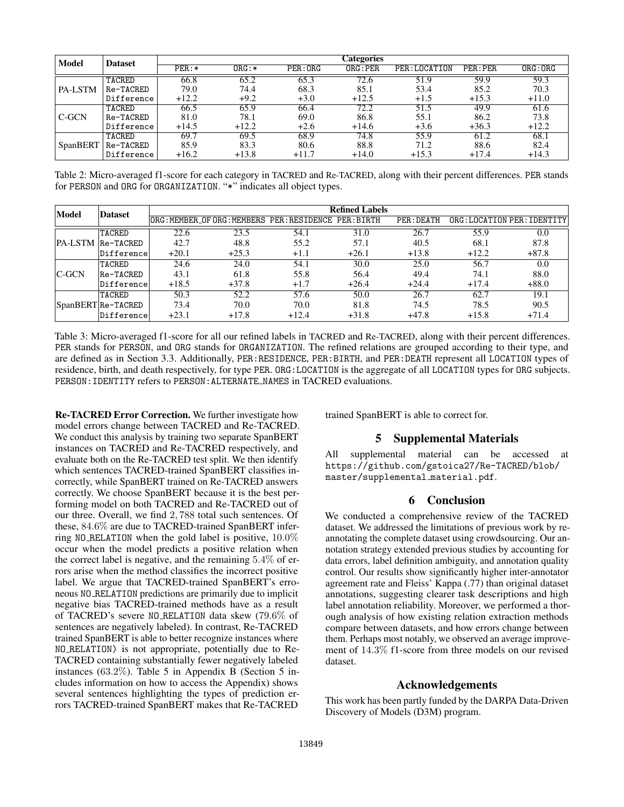| Model          | <b>Dataset</b> |          |          |         | Categories |               |          |          |
|----------------|----------------|----------|----------|---------|------------|---------------|----------|----------|
|                |                | $PER: *$ | $ORG: *$ | PER:ORG | ORG:PER    | PER: LOCATION | PER: PER | ORG: ORG |
| <b>PA-LSTM</b> | TACRED         | 66.8     | 65.2     | 65.3    | 72.6       | 51.9          | 59.9     | 59.3     |
|                | Re-TACRED      | 79.0     | 74.4     | 68.3    | 85.1       | 53.4          | 85.2     | 70.3     |
|                | Difference     | $+12.2$  | $+9.2$   | $+3.0$  | $+12.5$    | $+1.5$        | $+15.3$  | $+11.0$  |
| C-GCN          | TACRED         | 66.5     | 65.9     | 66.4    | 72.2       | 51.5          | 49.9     | 61.6     |
|                | Re-TACRED      | 81.0     | 78.1     | 69.0    | 86.8       | 55.1          | 86.2     | 73.8     |
|                | Difference     | $+14.5$  | $+12.2$  | $+2.6$  | $+14.6$    | $+3.6$        | $+36.3$  | $+12.2$  |
| 'SpanBERT      | TACRED         | 69.7     | 69.5     | 68.9    | 74.8       | 55.9          | 61.2     | 68.1     |
|                | Re-TACRED      | 85.9     | 83.3     | 80.6    | 88.8       | 71.2          | 88.6     | 82.4     |
|                | Difference     | $+16.2$  | $+13.8$  | $+11.7$ | $+14.0$    | $+15.3$       | $+17.4$  | $+14.3$  |

Table 2: Micro-averaged f1-score for each category in TACRED and Re-TACRED, along with their percent differences. PER stands for PERSON and ORG for ORGANIZATION. "\*" indicates all object types.

| Model        | <b>Dataset</b>    | <b>Refined Labels</b> |                                                  |         |         |            |         |                           |
|--------------|-------------------|-----------------------|--------------------------------------------------|---------|---------|------------|---------|---------------------------|
|              |                   |                       | ORG:MEMBER_OFORG:MEMBERS PER:RESIDENCE PER:BIRTH |         |         | PER: DEATH |         | ORG:LOCATION PER:IDENTITY |
|              | TACRED            | 22.6                  | 23.5                                             | 54.1    | 31.0    | 26.7       | 55.9    | 0.0                       |
|              | PA-LSTM Re-TACRED | 42.7                  | 48.8                                             | 55.2    | 57.1    | 40.5       | 68.1    | 87.8                      |
|              | Difference        | $+20.1$               | $+25.3$                                          | $+1.1$  | $+26.1$ | $+13.8$    | $+12.2$ | $+87.8$                   |
| <b>C-GCN</b> | TACRED            | 24.6                  | 24.0                                             | 54.1    | 30.0    | 25.0       | 56.7    | 0.0                       |
|              | Re-TACRED         | 43.1                  | 61.8                                             | 55.8    | 56.4    | 49.4       | 74.1    | 88.0                      |
|              | Difference        | $+18.5$               | $+37.8$                                          | $+1.7$  | $+26.4$ | $+24.4$    | $+17.4$ | $+88.0$                   |
|              | TACRED            | 50.3                  | 52.2                                             | 57.6    | 50.0    | 26.7       | 62.7    | 19.1                      |
|              | SpanBERTRe-TACRED | 73.4                  | 70.0                                             | 70.0    | 81.8    | 74.5       | 78.5    | 90.5                      |
|              | Difference        | $+23.1$               | $+17.8$                                          | $+12.4$ | $+31.8$ | $+47.8$    | $+15.8$ | $+71.4$                   |

Table 3: Micro-averaged f1-score for all our refined labels in TACRED and Re-TACRED, along with their percent differences. PER stands for PERSON, and ORG stands for ORGANIZATION. The refined relations are grouped according to their type, and are defined as in Section 3.3. Additionally, PER:RESIDENCE, PER:BIRTH, and PER:DEATH represent all LOCATION types of residence, birth, and death respectively, for type PER. ORG:LOCATION is the aggregate of all LOCATION types for ORG subjects. PERSON: IDENTITY refers to PERSON: ALTERNATE\_NAMES in TACRED evaluations.

Re-TACRED Error Correction. We further investigate how model errors change between TACRED and Re-TACRED. We conduct this analysis by training two separate SpanBERT instances on TACRED and Re-TACRED respectively, and evaluate both on the Re-TACRED test split. We then identify which sentences TACRED-trained SpanBERT classifies incorrectly, while SpanBERT trained on Re-TACRED answers correctly. We choose SpanBERT because it is the best performing model on both TACRED and Re-TACRED out of our three. Overall, we find 2, 788 total such sentences. Of these, 84.6% are due to TACRED-trained SpanBERT inferring NO RELATION when the gold label is positive,  $10.0\%$ occur when the model predicts a positive relation when the correct label is negative, and the remaining 5.4% of errors arise when the method classifies the incorrect positive label. We argue that TACRED-trained SpanBERT's erroneous NO RELATION predictions are primarily due to implicit negative bias TACRED-trained methods have as a result of TACRED's severe NO RELATION data skew (79.6% of sentences are negatively labeled). In contrast, Re-TACRED trained SpanBERT is able to better recognize instances where NO RELATION) is not appropriate, potentially due to Re-TACRED containing substantially fewer negatively labeled instances (63.2%). Table 5 in Appendix B (Section 5 includes information on how to access the Appendix) shows several sentences highlighting the types of prediction errors TACRED-trained SpanBERT makes that Re-TACRED

trained SpanBERT is able to correct for.

### 5 Supplemental Materials

All supplemental material can be accessed at https://github.com/gstoica27/Re-TACRED/blob/ master/supplemental material.pdf.

#### 6 Conclusion

We conducted a comprehensive review of the TACRED dataset. We addressed the limitations of previous work by reannotating the complete dataset using crowdsourcing. Our annotation strategy extended previous studies by accounting for data errors, label definition ambiguity, and annotation quality control. Our results show significantly higher inter-annotator agreement rate and Fleiss' Kappa (.77) than original dataset annotations, suggesting clearer task descriptions and high label annotation reliability. Moreover, we performed a thorough analysis of how existing relation extraction methods compare between datasets, and how errors change between them. Perhaps most notably, we observed an average improvement of 14.3% f1-score from three models on our revised dataset.

### Acknowledgements

This work has been partly funded by the DARPA Data-Driven Discovery of Models (D3M) program.